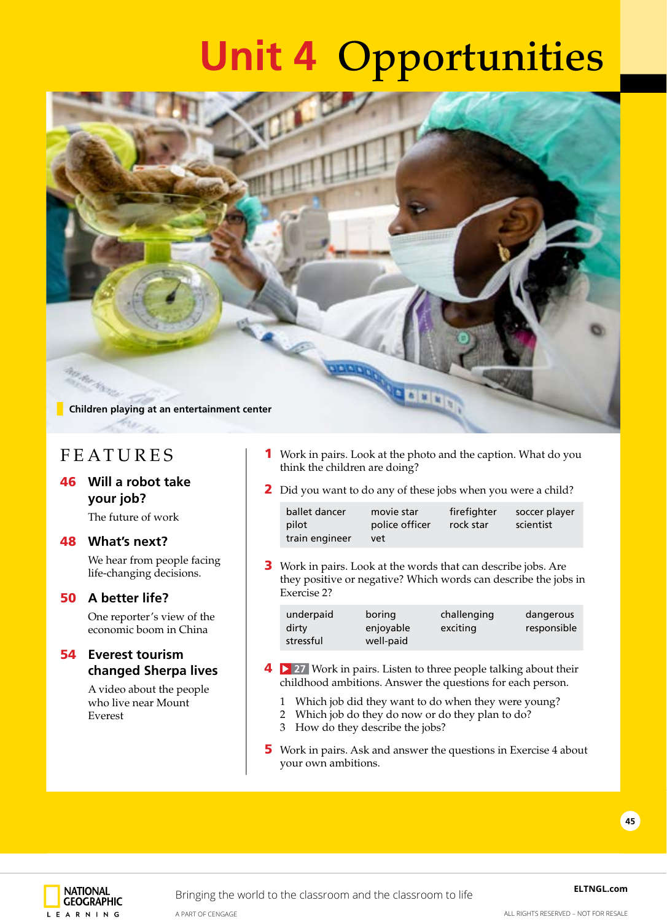## **Unit 4** Opportunities



## FEATURES

### 46 **Will a robot take your job?**

The future of work

#### 48 **What's next?**

We hear from people facing life-changing decisions.

#### 50 **A better life?**

One reporter's view of the economic boom in China

#### 54 **Everest tourism changed Sherpa lives**

A video about the people who live near Mount Everest

- **1** Work in pairs. Look at the photo and the caption. What do you think the children are doing?
- 2 Did you want to do any of these jobs when you were a child?

| ballet dancer  | movie star     | firefighter | soccer player |
|----------------|----------------|-------------|---------------|
| pilot          | police officer | rock star   | scientist     |
| train engineer | vet            |             |               |

**3** Work in pairs. Look at the words that can describe jobs. Are they positive or negative? Which words can describe the jobs in Exercise 2?

| underpaid<br>boring<br>challenging<br>dangerous<br>dirtv<br>enjoyable<br>exciting<br>stressful<br>well-paid | responsible |
|-------------------------------------------------------------------------------------------------------------|-------------|
|                                                                                                             |             |

- **4 27** Work in pairs. Listen to three people talking about their childhood ambitions. Answer the questions for each person.
	- 1 Which job did they want to do when they were young?
	- 2 Which job do they do now or do they plan to do?
	- 3 How do they describe the jobs?
- 5 Work in pairs. Ask and answer the questions in Exercise 4 about your own ambitions.

**45**

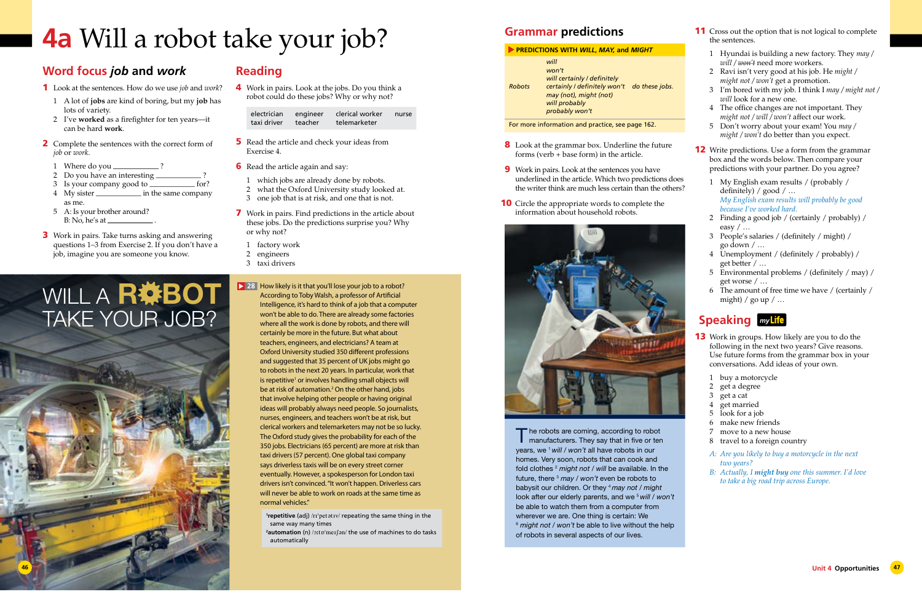

## **4a** Will a robot take your job?

### **Reading**

4 Work in pairs. Look at the jobs. Do you think a robot could do these jobs? Why or why not?

| electrician | engineer | clerical worker | nurse |
|-------------|----------|-----------------|-------|
| taxi driver | teacher  | telemarketer    |       |

- **5** Read the article and check your ideas from Exercise 4.
- **6** Read the article again and say:
- 1 which jobs are already done by robots.
- 2 what the Oxford University study looked at.
- 3 one job that is at risk, and one that is not.
- 7 Work in pairs. Find predictions in the article about these jobs. Do the predictions surprise you? Why or why not?
	- 1 factory work
	- 2 engineers
	- 3 taxi drivers

## WILL A R#BOT TAKE YOUR JOB?

## **Word focus** *job* **and** *work*

- 1 Look at the sentences. How do we use *job* and *work*?
	- 1 A lot of **jobs** are kind of boring, but my **job** has lots of variety.
	- 2 I've **worked** as a firefighter for ten years—it can be hard **work**.
- 2 Complete the sentences with the correct form of *job* or *work*.
	- 1 Where do you  $\_\_$
	- 2 Do you have an interesting  $\equiv$
- 3 Is your company good to <u>for?</u> 4 My sister <u>\_\_\_\_\_\_\_\_</u> in the same company
- as me.
- 5 A: Is your brother around? B: No, he's at  $\equiv$
- **3** Work in pairs. Take turns asking and answering questions 1–3 from Exercise 2. If you don't have a job, imagine you are someone you know.
- **11** Cross out the option that is not logical to complete the sentences.
	- 1 Hyundai is building a new factory. They *may / will / won't* need more workers.
	- 2 Ravi isn't very good at his job. He *might / might not / won't* get a promotion.
	- 3 I'm bored with my job. I think I *may / might not / will* look for a new one.
	- 4 The office changes are not important. They *might not / will / won't* affect our work.
	- 5 Don't worry about your exam! You *may / might / won't* do better than you expect.

**12** Write predictions. Use a form from the grammar box and the words below. Then compare your predictions with your partner. Do you agree?

- 1 My English exam results / (probably / definitely) / good / …  *My English exam results will probably be good because I've worked hard.*
- 2 Finding a good job / (certainly / probably) / easy / …
- 3 People's salaries / (definitely / might) / go down / …
- 4 Unemployment / (definitely / probably) / get better / …
- 5 Environmental problems / (definitely / may) / get worse / …
- 6 The amount of free time we have / (certainly / might) / go up  $/$  ...

How likely is it that you'll lose your job to a robot? **28**  According to Toby Walsh, a professor of Artificial Intelligence, it's hard to think of a job that a computer won't be able to do. There are already some factories where all the work is done by robots, and there will certainly be more in the future. But what about teachers, engineers, and electricians? A team at Oxford University studied 350 different professions and suggested that 35 percent of UK jobs might go to robots in the next 20 years. In particular, work that is repetitive<sup>1</sup> or involves handling small objects will be at risk of automation.<sup>2</sup> On the other hand, jobs that involve helping other people or having original ideas will probably always need people. So journalists, nurses, engineers, and teachers won't be at risk, but clerical workers and telemarketers may not be so lucky. The Oxford study gives the probability for each of the 350 jobs. Electricians (65 percent) are more at risk than taxi drivers (57 percent). One global taxi company says driverless taxis will be on every street corner eventually. However, a spokesperson for London taxi drivers isn't convinced. "It won't happen. Driverless cars will never be able to work on roads at the same time as normal vehicles."

- **13** Work in groups. How likely are you to do the following in the next two years? Give reasons. Use future forms from the grammar box in your conversations. Add ideas of your own.
	- 1 buy a motorcycle
	- 2 get a degree
	- 3 get a cat
	- 4 get married
	- 5 look for a job
	- 6 make new friends
	- 7 move to a new house
	- 8 travel to a foreign country
	- *A: Are you likely to buy a motorcycle in the next two years?*
	- *B: Actually, I might buy one this summer. I'd love to take a big road trip across Europe.*
- 8 Look at the grammar box. Underline the future forms (verb + base form) in the article.
- 9 Work in pairs. Look at the sentences you have underlined in the article. Which two predictions does the writer think are much less certain than the others?
- **10** Circle the appropriate words to complete the information about household robots.



**1 repetitive** (adj) /rɪˈpetətɪv/ repeating the same thing in the same way many times

**2 automation** (n) /ɔːtɒˈmeɪʃən/ the use of machines to do tasks automatically

The robots are coming, according to robot **I** manufacturers. They say that in five or ten years, we 1 *will* / *won't* all have robots in our homes. Very soon, robots that can cook and fold clothes 2 *might not / will* be available. In the future, there 3 *may / won't* even be robots to babysit our children. Or they 4 *may not / might* look after our elderly parents, and we <sup>5</sup> will / won't be able to watch them from a computer from wherever we are. One thing is certain: We <sup>6</sup> *might not / won't* be able to live without the help of robots in several aspects of our lives.

## **Speaking** *my*

## **Grammar predictions**

#### **PREDICTIONS WITH** *WILL***,** *MAY,* **and** *MIGHT*

|               | will                         |                |
|---------------|------------------------------|----------------|
|               | won't                        |                |
|               | will certainly / definitely  |                |
| <b>Robots</b> | certainly / definitely won't | do these jobs. |
|               | may (not), might (not)       |                |
|               | will probably                |                |
|               | probably won't               |                |

For more information and practice, see page 162.

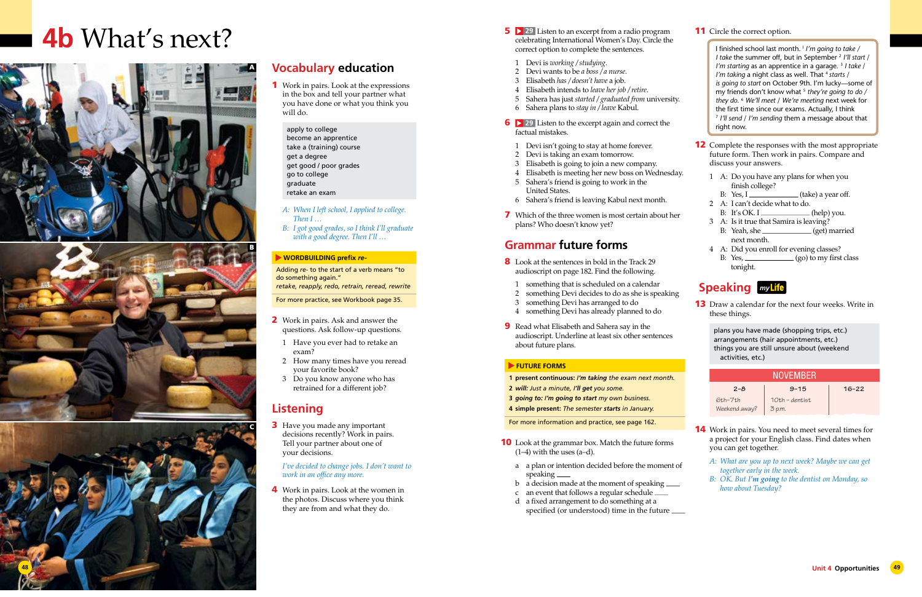- **5 29** Listen to an excerpt from a radio program **11** Circle the correct option. celebrating International Women's Day. Circle the correct option to complete the sentences.
	- 1 Devi is *working / studying*.
	- 2 Devi wants to be *a boss / a nurse*.
	- 3 Elisabeth *has / doesn't have* a job.
	- 4 Elisabeth intends to *leave her job / retire*.
	- 5 Sahera has just *started / graduated from* university.
- 6 Sahera plans to *stay in / leave* Kabul.
- **6 29** Listen to the excerpt again and correct the factual mistakes.
- 1 Devi isn't going to stay at home forever.
- 2 Devi is taking an exam tomorrow.
- 3 Elisabeth is going to join a new company.
- 4 Elisabeth is meeting her new boss on Wednesday.
- 5 Sahera's friend is going to work in the United States.
- 6 Sahera's friend is leaving Kabul next month.
- 7 Which of the three women is most certain about her plans? Who doesn't know yet?

- 8 Look at the sentences in bold in the Track 29 audioscript on page 182. Find the following.
- 1 something that is scheduled on a calendar
- 2 something Devi decides to do as she is speaking
- 3 something Devi has arranged to do
- 4 something Devi has already planned to do
- **9** Read what Elisabeth and Sahera say in the audioscript. Underline at least six other sentences about future plans.

#### **FUTURE FORMS**

## **Grammar future forms**

- **10** Look at the grammar box. Match the future forms  $(1-4)$  with the uses  $(a-d)$ .
	- a a plan or intention decided before the moment of speaking
	- b a decision made at the moment of speaking
	- c an event that follows a regular schedule d a fixed arrangement to do something at a
	- specified (or understood) time in the future

- **12** Complete the responses with the most appropriate future form. Then work in pairs. Compare and discuss your answers.
	- 1 A: Do you have any plans for when you finish college?
		- B: Yes, I (take) a year off.
	- 2 A: I can't decide what to do.
	- B: It's OK. I  $\qquad \qquad$  (help) you.
	- 3 A: Is it true that Samira is leaving?  $B:$  Yeah, she  $\qquad \qquad (get)$  married next month.
	- 4 A: Did you enroll for evening classes? B: Yes,  $\frac{\log n}{n}$  (go) to my first class tonight.

**13** Draw a calendar for the next four weeks. Write in these things.

- **1 present continuous:** *I'm taking the exam next month.*
- **2** *will: Just a minute, I'll get you some.*
- **3** *going to: I'm going to start my own business.*
- **4 simple present:** *The semester starts in January.*

- **14** Work in pairs. You need to meet several times for a project for your English class. Find dates when you can get together.
	- *A: What are you up to next week? Maybe we can get together early in the week.*
	- *B: OK. But I'm going to the dentist on Monday, so how about Tuesday?*

For more information and practice, see page 162.

- 2 Work in pairs. Ask and answer the questions. Ask follow-up questions.
	- 1 Have you ever had to retake an exam?
	- 2 How many times have you reread your favorite book?
	- 3 Do you know anyone who has retrained for a different job?

**3** Have you made any important decisions recently? Work in pairs. Tell your partner about one of your decisions.

Work in pairs. Look at the women in the photos. Discuss where you think they are from and what they do.

### **Speaking** *my*

plans you have made (shopping trips, etc.) arrangements (hair appointments, etc.) things you are still unsure about (weekend activities, etc.)

| <b>NOVEMBER</b>            |                            |           |  |
|----------------------------|----------------------------|-----------|--|
| $2 - 8$                    | $9 - 15$                   | $16 - 22$ |  |
| $6th-7th$<br>Weekend away? | $10th$ - dentist<br>3 p.m. |           |  |

I finished school last month. I *I'm going to take / I take* the summer off, but in September 2 *I'll start* / *I'm starting* as an apprentice in a garage.<sup>3</sup> *I take* / *I'm taking* a night class as well. That <sup>4</sup> *starts* / *is going to start* on October 9th. I'm lucky—some of my friends don't know what <sup>5</sup> *they're going to do / they do*. 6 *We'll meet* / *We're meeting* next week for the first time since our exams. Actually, I think <sup>7</sup> *I'll send* / *I'm sending* them a message about that right now.

## **4b** What's next?

## **Vocabulary education**

- 1 Work in pairs. Look at the expressions in the box and tell your partner what you have done or what you think you will do.
	- apply to college become an apprentice take a (training) course get a degree
	- get good / poor grades
	- go to college
	- graduate
	- retake an exam
	- *A: When I left school, I applied to college. Then I …*
	- *B: I got good grades, so I think I'll graduate with a good degree. Then I'll …*

#### **WORDBUILDING prefix** *re-*

Adding *re-* to the start of a verb means "to do something again." *retake, reapply, redo, retrain, reread, rewrite*

For more practice, see Workbook page 35.

## **Listening**

*I've decided to change jobs. I don't want to work in an office any more.*





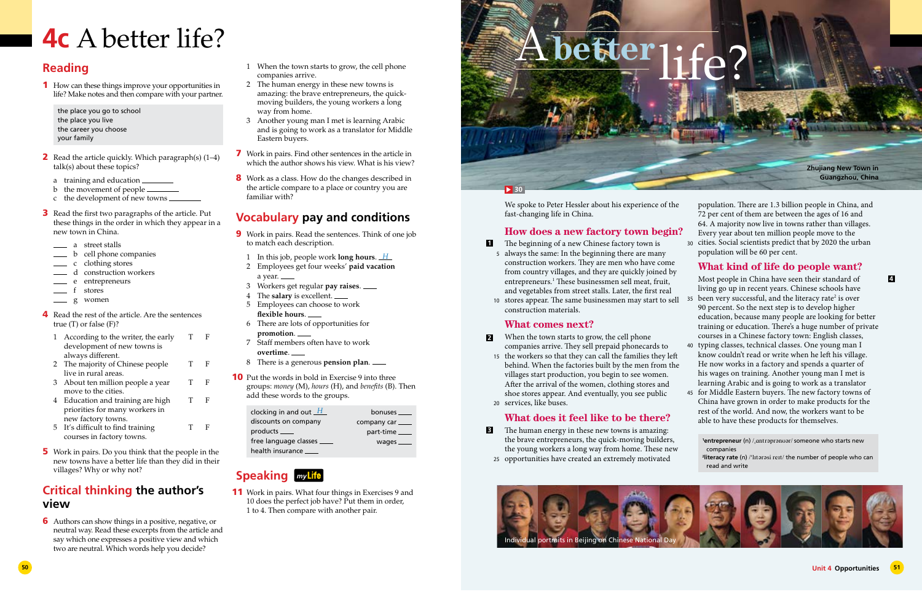## **4c** A better life?

- 1 When the town starts to grow, the cell phone companies arrive.
- 2 The human energy in these new towns is amazing: the brave entrepreneurs, the quickmoving builders, the young workers a long way from home.
- 3 Another young man I met is learning Arabic and is going to work as a translator for Middle Eastern buyers.
- 7 Work in pairs. Find other sentences in the article in which the author shows his view. What is his view?
- 8 Work as a class. How do the changes described in the article compare to a place or country you are familiar with?

## **Vocabulary pay and conditions**

11 Work in pairs. What four things in Exercises 9 and 10 does the perfect job have? Put them in order, 1 to 4. Then compare with another pair.

- 9 Work in pairs. Read the sentences. Think of one job to match each description.
	- 1 In this job, people work **long hours**. *H*
	- 2 Employees get four weeks' **paid vacation** a year.
	- 3 Workers get regular **pay raises**.
	- 4 The **salary** is excellent.
	- 5 Employees can choose to work **flexible hours**.
	- 6 There are lots of opportunities for **promotion**.
	- 7 Staff members often have to work **overtime**.
	- 8 There is a generous **pension plan**.
- **10** Put the words in bold in Exercise 9 into three groups: *money* (M), *hours* (H), and *benefits* (B). Then add these words to the groups.
- 2 Read the article quickly. Which paragraph(s)  $(1-4)$ talk(s) about these topics?
	- a training and education
	- b the movement of people  $\_\_$
	- c the development of new towns
- 3 Read the first two paragraphs of the article. Put these things in the order in which they appear in a new town in China.
	- a street stalls
	- b cell phone companies
	- c clothing stores
	- d construction workers
	- e entrepreneurs
	- stores
	- g women
- 4 Read the rest of the article. Are the sentences true (T) or false (F)?

## **Speaking** *my*

- 2 The majority of Chinese people T F live in rural areas.
- 3 About ten million people a year T F move to the cities.
- 4 Education and training are high T F priorities for many workers in new factory towns.
- 5 It's difficult to find training T F courses in factory towns.
- 5 Work in pairs. Do you think that the people in the new towns have a better life than they did in their villages? Why or why not?

## **Reading**

1 How can these things improve your opportunities in life? Make notes and then compare with your partner.

the place you go to school the place you live the career you choose your family

| clocking in and out $H$     | bonuses ____      |
|-----------------------------|-------------------|
| discounts on company        | company car _____ |
| products _____              | part-time         |
| free language classes _____ | wages $\_\_$      |
| health insurance _____      |                   |
|                             |                   |

| 1 According to the writer, the early |  |
|--------------------------------------|--|
| development of new towns is          |  |
| always different.                    |  |

- **1** The beginning of a new Chinese factory town is
- always the same: In the beginning there are many 5 construction workers. They are men who have come from country villages, and they are quickly joined by entrepreneurs.1 These businessmen sell meat, fruit, and vegetables from street stalls. Later, the first real
- stores appear. The same businessmen may start to sell 10 construction materials. **What comes next?** 35 been very successful, and the literacy rate<sup>2</sup> is over 90 percent. So the next step is to develop higher education, because many people are looking for better training or education. There's a huge number of private courses in a Chinese factory town: English classes,

## **Critical thinking the author's view**

6 Authors can show things in a positive, negative, or neutral way. Read these excerpts from the article and say which one expresses a positive view and which two are neutral. Which words help you decide?

**1 entrepreneur** (n) /ˌɑntrəprənʊər/ someone who starts new companies **2 literacy rate** (n) /ˈlɪtərəsi reɪt/ the number of people who can read and write



We spoke to Peter Hessler about his experience of the fast-changing life in China.

### **How does a new factory town begin?**

### **What does it feel like to be there?**

- The human energy in these new towns is amazing: the brave entrepreneurs, the quick-moving builders, the young workers a long way from home. These new **3**
- opportunities have created an extremely motivated 25

30 cities. Social scientists predict that by 2020 the urban population. There are 1.3 billion people in China, and 72 per cent of them are between the ages of 16 and 64. A majority now live in towns rather than villages. Every year about ten million people move to the

- When the town starts to grow, the cell phone companies arrive. They sell prepaid phonecards to **2**
- the workers so that they can call the families they left 15 behind. When the factories built by the men from the villages start production, you begin to see women. After the arrival of the women, clothing stores and shoe stores appear. And eventually, you see public services, like buses. 20 40 typing classes, technical classes. One young man I know couldn't read or write when he left his village. He now works in a factory and spends a quarter of his wages on training. Another young man I met is learning Arabic and is going to work as a translator

population will be 60 per cent.

#### **What kind of life do people want?**

Most people in China have seen their standard of living go up in recent years. Chinese schools have

45 for Middle Eastern buyers. The new factory towns of China have grown in order to make products for the rest of the world. And now, the workers want to be able to have these products for themselves.

**4**

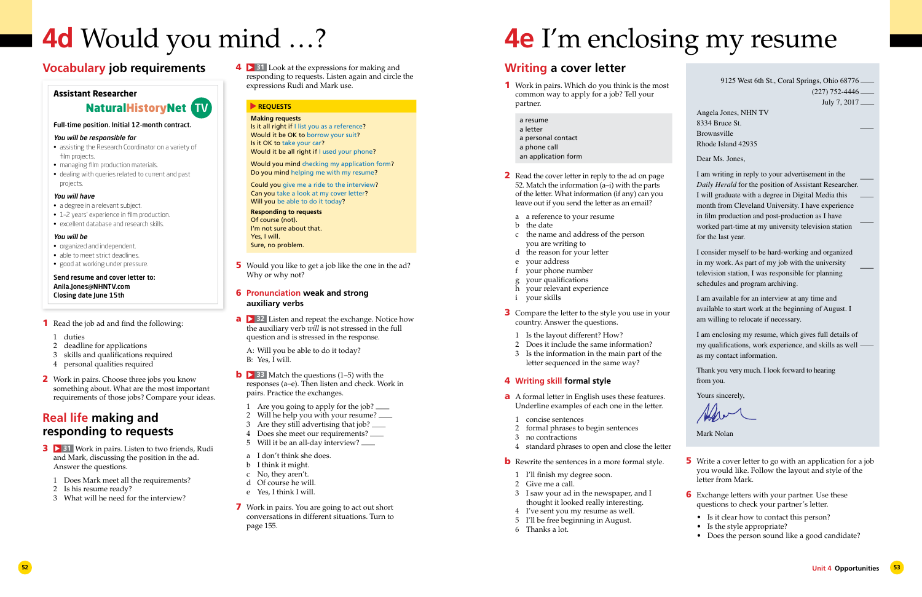# **4e** I'm enclosing my resume

- 5 Write a cover letter to go with an application for a job you would like. Follow the layout and style of the letter from Mark.
- **6** Exchange letters with your partner. Use these questions to check your partner's letter.
	- Is it clear how to contact this person?
	- Is the style appropriate?
	- Does the person sound like a good candidate?

## **Writing a cover letter**

- 1 Work in pairs. Which do you think is the most common way to apply for a job? Tell your partner.
	- a resume
	- a letter
	- a personal contact
	- a phone call
	- an application form
- 2 Read the cover letter in reply to the ad on page 52. Match the information (a–i) with the parts of the letter. What information (if any) can you leave out if you send the letter as an email?
	- a a reference to your resume
	- b the date
	- c the name and address of the person you are writing to
	- d the reason for your letter
	- e your address
	- f your phone number
	- g your qualifications
	- h your relevant experience
	- i your skills
- 3 Compare the letter to the style you use in your country. Answer the questions.
	- 1 Is the layout different? How?
	- 2 Does it include the same information?
	- 3 Is the information in the main part of the letter sequenced in the same way?

#### 4 **Writing skill formal style**

- a A formal letter in English uses these features. Underline examples of each one in the letter.
	- 1 concise sentences
	- 2 formal phrases to begin sentences
- 3 no contractions
- 4 standard phrases to open and close the letter
- **b** Rewrite the sentences in a more formal style.
- 1 I'll finish my degree soon.
- 2 Give me a call.
- 3 I saw your ad in the newspaper, and I thought it looked really interesting.
- 4 I've sent you my resume as well.
- 5 I'll be free beginning in August.
- 6 Thanks a lot.

Would you mind checking my application form? Do you mind helping me with my resume?

Could you give me a ride to the interview? Can you take a look at my cover letter? Will you be able to do it today?

**a 32** Listen and repeat the exchange. Notice how the auxiliary verb *will* is not stressed in the full question and is stressed in the response.

**b 2 33** Match the questions (1–5) with the responses (a–e). Then listen and check. Work in pairs. Practice the exchanges.

| 9125 West 6th St., Coral Springs, Ohio 68776 -                                                                                                                                                                                                                                                                                                              |
|-------------------------------------------------------------------------------------------------------------------------------------------------------------------------------------------------------------------------------------------------------------------------------------------------------------------------------------------------------------|
| $(227)$ 752-4446                                                                                                                                                                                                                                                                                                                                            |
| July 7, 2017                                                                                                                                                                                                                                                                                                                                                |
| Angela Jones, NHN TV<br>8334 Bruce St.<br><b>Brownsville</b><br>Rhode Island 42935                                                                                                                                                                                                                                                                          |
| Dear Ms. Jones,                                                                                                                                                                                                                                                                                                                                             |
| I am writing in reply to your advertisement in the<br>Daily Herald for the position of Assistant Researcher.<br>I will graduate with a degree in Digital Media this<br>month from Cleveland University. I have experience<br>in film production and post-production as I have<br>worked part-time at my university television station<br>for the last year. |
| I consider myself to be hard-working and organized<br>in my work. As part of my job with the university<br>television station, I was responsible for planning<br>schedules and program archiving.                                                                                                                                                           |
| I am available for an interview at any time and<br>available to start work at the beginning of August. I<br>am willing to relocate if necessary.                                                                                                                                                                                                            |
| I am enclosing my resume, which gives full details of<br>my qualifications, work experience, and skills as well<br>as my contact information.                                                                                                                                                                                                               |
| Thank you very much. I look forward to hearing<br>from you.                                                                                                                                                                                                                                                                                                 |
| Yours sincerely,                                                                                                                                                                                                                                                                                                                                            |
| Mark Nolan                                                                                                                                                                                                                                                                                                                                                  |

- **3 31** Work in pairs. Listen to two friends, Rudi and Mark, discussing the position in the ad. Answer the questions.
	- 1 Does Mark meet all the requirements?
	- 2 Is his resume ready?
	- 3 What will he need for the interview?

# **4d** Would you mind …?

4 **31** Look at the expressions for making and responding to requests. Listen again and circle the expressions Rudi and Mark use.

#### **REQUESTS**

#### **Making requests**

Is it all right if I list you as a reference? Would it be OK to borrow your suit? Is it OK to take your car? Would it be all right if I used your phone?

**Responding to requests** Of course (not). I'm not sure about that. Yes, I will. Sure, no problem.

5 Would you like to get a job like the one in the ad? Why or why not?

#### 6 **Pronunciation weak and strong auxiliary verbs**

A: Will you be able to do it today? B: Yes, I will.

- 1 Are you going to apply for the job?
- 2 Will he help you with your resume?
- 3 Are they still advertising that job?
- 4 Does she meet our requirements?
- 5 Will it be an all-day interview?
- a I don't think she does.
- b I think it might.
- c No, they aren't.
- d Of course he will.
- e Yes, I think I will.
- 7 Work in pairs. You are going to act out short conversations in different situations. Turn to page 155.

## **Vocabulary job requirements**

#### **Assistant Researcher**

#### Full-time position. Initial 12-month contract.

#### You will be responsible for

- assisting the Research Coordinator on a variety of film projects.
- managing film production materials.
- dealing with queries related to current and past projects.

#### You will have

- a degree in a relevant subject.
- 1–2 years' experience in film production.
- excellent database and research skills.

#### You will be

- organized and independent.
- able to meet strict deadlines.
- good at working under pressure.

#### Send resume and cover letter to: Anila.Jones@NHNTV.com Closing date June 15th

## NaturalHistoryNet TV

- 1 Read the job ad and find the following:
	- 1 duties
	- 2 deadline for applications
	- 3 skills and qualifications required
	- 4 personal qualities required
- 2 Work in pairs. Choose three jobs you know something about. What are the most important requirements of those jobs? Compare your ideas.

## **Real life making and responding to requests**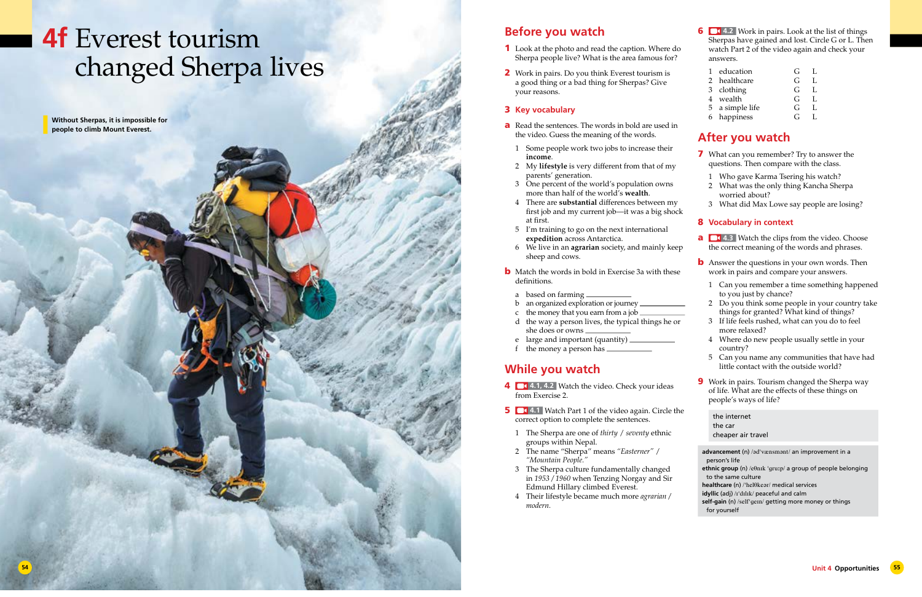## **4f** Everest tourism changed Sherpa lives

**Without Sherpas, it is impossible for people to climb Mount Everest.**

**6 1.4.2** Work in pairs. Look at the list of things Sherpas have gained and lost. Circle G or L. Then watch Part 2 of the video again and check your answers.

7 What can you remember? Try to answer the questions. Then compare with the class.

| 1 education     | €.  |    |
|-----------------|-----|----|
| 2 healthcare    | G   | Ι. |
| 3 clothing      | G   | L  |
| 4 wealth        | G   | L. |
| 5 a simple life | G   | I. |
| 6 happiness     | G., |    |

## **After you watch**

- 1 Who gave Karma Tsering his watch?
- 2 What was the only thing Kancha Sherpa worried about?
- 3 What did Max Lowe say people are losing?

#### 8 **Vocabulary in context**

- **a 4.3** Watch the clips from the video. Choose the correct meaning of the words and phrases.
- **b** Answer the questions in your own words. Then work in pairs and compare your answers.
- 1 Can you remember a time something happened to you just by chance?
- 2 Do you think some people in your country take things for granted? What kind of things?
- 3 If life feels rushed, what can you do to feel more relaxed?
- 4 Where do new people usually settle in your country?
- 5 Can you name any communities that have had little contact with the outside world?
- **9** Work in pairs. Tourism changed the Sherpa way of life. What are the effects of these things on people's ways of life?
- a Read the sentences. The words in bold are used in the video. Guess the meaning of the words.
	- 1 Some people work two jobs to increase their **income**.
	- 2 My **lifestyle** is very different from that of my parents' generation.
	- 3 One percent of the world's population owns more than half of the world's **wealth**.
	- 4 There are **substantial** differences between my first job and my current job—it was a big shock at first.
	- 5 I'm training to go on the next international **expedition** across Antarctica.
	- 6 We live in an **agrarian** society, and mainly keep sheep and cows.
- **b** Match the words in bold in Exercise 3a with these definitions.
	- a based on farming
- b an organized exploration or journey
- c the money that you earn from a job
- d the way a person lives, the typical things he or she does or owns
- e large and important (quantity)
- f the money a person has  $\equiv$

```
the internet
the car
cheaper air travel
```
## **Before you watch**

- **4 1.1, 4.2** Watch the video. Check your ideas from Exercise 2.
- **5 <b>4.1** Watch Part 1 of the video again. Circle the correct option to complete the sentences.
	- 1 The Sherpa are one of *thirty* / *seventy* ethnic groups within Nepal.
	- 2 The name "Sherpa" means *"Easterner"* / *"Mountain People."*
	- 3 The Sherpa culture fundamentally changed in *1953 / 1960* when Tenzing Norgay and Sir Edmund Hillary climbed Everest.
	- 4 Their lifestyle became much more *agrarian / modern.*
- 1 Look at the photo and read the caption. Where do Sherpa people live? What is the area famous for?
- 2 Work in pairs. Do you think Everest tourism is a good thing or a bad thing for Sherpas? Give your reasons.

#### 3 **Key vocabulary**

## **While you watch**

**advancement** (n) /ədˈvænsmənt/ an improvement in a person's life **ethnic group** (n) /eθnɪk ˈgruːp/ a group of people belonging to the same culture **healthcare** (n) /ˈhelθkeər/ medical services **idyllic** (adj) /ɪˈdɪlɪk/ peaceful and calm **self-gain** (n) /selfˈgeɪn/ getting more money or things for yourself